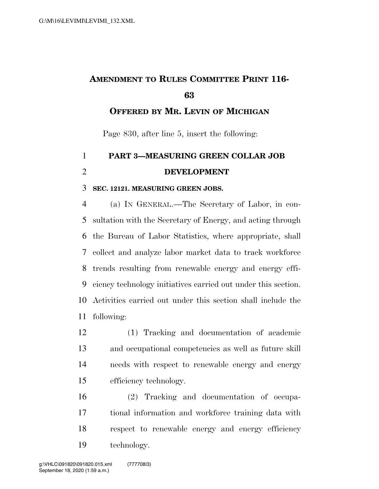## **AMENDMENT TO RULES COMMITTEE PRINT 116-**

## **OFFERED BY MR. LEVIN OF MICHIGAN**

Page 830, after line 5, insert the following:

## **PART 3—MEASURING GREEN COLLAR JOB DEVELOPMENT**

## **SEC. 12121. MEASURING GREEN JOBS.**

 (a) IN GENERAL.—The Secretary of Labor, in con- sultation with the Secretary of Energy, and acting through the Bureau of Labor Statistics, where appropriate, shall collect and analyze labor market data to track workforce trends resulting from renewable energy and energy effi- ciency technology initiatives carried out under this section. Activities carried out under this section shall include the following:

 (1) Tracking and documentation of academic and occupational competencies as well as future skill needs with respect to renewable energy and energy efficiency technology.

 (2) Tracking and documentation of occupa- tional information and workforce training data with respect to renewable energy and energy efficiency technology.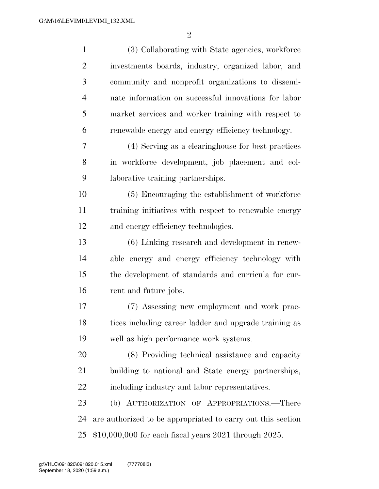| $\mathbf{1}$   | (3) Collaborating with State agencies, workforce            |  |  |
|----------------|-------------------------------------------------------------|--|--|
| $\overline{2}$ | investments boards, industry, organized labor, and          |  |  |
| 3              | community and nonprofit organizations to dissemi-           |  |  |
| $\overline{4}$ | nate information on successful innovations for labor        |  |  |
| 5              | market services and worker training with respect to         |  |  |
| 6              | renewable energy and energy efficiency technology.          |  |  |
| 7              | (4) Serving as a clearinghouse for best practices           |  |  |
| 8              | in workforce development, job placement and col-            |  |  |
| 9              | laborative training partnerships.                           |  |  |
| 10             | (5) Encouraging the establishment of workforce              |  |  |
| 11             | training initiatives with respect to renewable energy       |  |  |
| 12             | and energy efficiency technologies.                         |  |  |
| 13             | (6) Linking research and development in renew-              |  |  |
| 14             | able energy and energy efficiency technology with           |  |  |
| 15             | the development of standards and curricula for cur-         |  |  |
| 16             | rent and future jobs.                                       |  |  |
| 17             | (7) Assessing new employment and work prac-                 |  |  |
| 18             | tices including career ladder and upgrade training as       |  |  |
| 19             | well as high performance work systems.                      |  |  |
| 20             | (8) Providing technical assistance and capacity             |  |  |
| 21             | building to national and State energy partnerships,         |  |  |
| 22             | including industry and labor representatives.               |  |  |
| 23             | (b) AUTHORIZATION OF APPROPRIATIONS.—There                  |  |  |
| 24             | are authorized to be appropriated to carry out this section |  |  |
| 25             | $$10,000,000$ for each fiscal years 2021 through 2025.      |  |  |